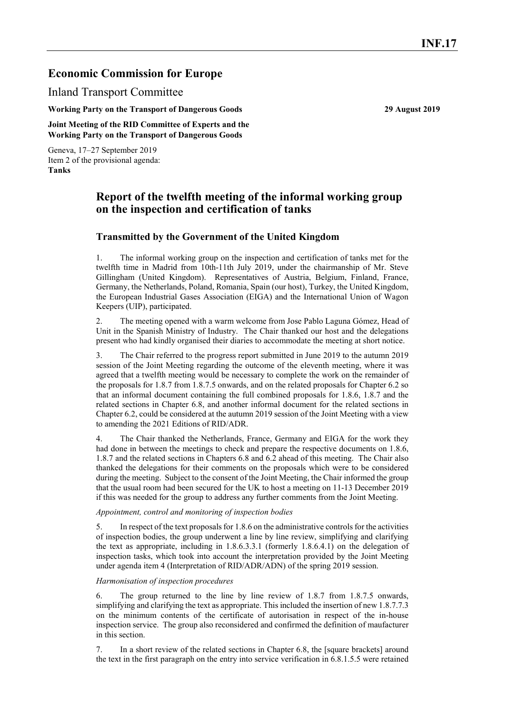# **Economic Commission for Europe**

Inland Transport Committee

**Working Party on the Transport of Dangerous Goods 29 August 2019**

**Joint Meeting of the RID Committee of Experts and the Working Party on the Transport of Dangerous Goods**

Geneva, 17–27 September 2019 Item 2 of the provisional agenda: **Tanks**

## **Report of the twelfth meeting of the informal working group on the inspection and certification of tanks**

## **Transmitted by the Government of the United Kingdom**

1. The informal working group on the inspection and certification of tanks met for the twelfth time in Madrid from 10th-11th July 2019, under the chairmanship of Mr. Steve Gillingham (United Kingdom). Representatives of Austria, Belgium, Finland, France, Germany, the Netherlands, Poland, Romania, Spain (our host), Turkey, the United Kingdom, the European Industrial Gases Association (EIGA) and the International Union of Wagon Keepers (UIP), participated.

2. The meeting opened with a warm welcome from Jose Pablo Laguna Gómez, Head of Unit in the Spanish Ministry of Industry. The Chair thanked our host and the delegations present who had kindly organised their diaries to accommodate the meeting at short notice.

3. The Chair referred to the progress report submitted in June 2019 to the autumn 2019 session of the Joint Meeting regarding the outcome of the eleventh meeting, where it was agreed that a twelfth meeting would be necessary to complete the work on the remainder of the proposals for 1.8.7 from 1.8.7.5 onwards, and on the related proposals for Chapter 6.2 so that an informal document containing the full combined proposals for 1.8.6, 1.8.7 and the related sections in Chapter 6.8, and another informal document for the related sections in Chapter 6.2, could be considered at the autumn 2019 session of the Joint Meeting with a view to amending the 2021 Editions of RID/ADR.

4. The Chair thanked the Netherlands, France, Germany and EIGA for the work they had done in between the meetings to check and prepare the respective documents on 1.8.6, 1.8.7 and the related sections in Chapters 6.8 and 6.2 ahead of this meeting. The Chair also thanked the delegations for their comments on the proposals which were to be considered during the meeting. Subject to the consent of the Joint Meeting, the Chair informed the group that the usual room had been secured for the UK to host a meeting on 11-13 December 2019 if this was needed for the group to address any further comments from the Joint Meeting.

### *Appointment, control and monitoring of inspection bodies*

5. In respect of the text proposals for 1.8.6 on the administrative controls for the activities of inspection bodies, the group underwent a line by line review, simplifying and clarifying the text as appropriate, including in 1.8.6.3.3.1 (formerly 1.8.6.4.1) on the delegation of inspection tasks, which took into account the interpretation provided by the Joint Meeting under agenda item 4 (Interpretation of RID/ADR/ADN) of the spring 2019 session.

### *Harmonisation of inspection procedures*

6. The group returned to the line by line review of 1.8.7 from 1.8.7.5 onwards, simplifying and clarifying the text as appropriate. This included the insertion of new 1.8.7.7.3 on the minimum contents of the certificate of autorisation in respect of the in-house inspection service. The group also reconsidered and confirmed the definition of maufacturer in this section.

7. In a short review of the related sections in Chapter 6.8, the [square brackets] around the text in the first paragraph on the entry into service verification in 6.8.1.5.5 were retained